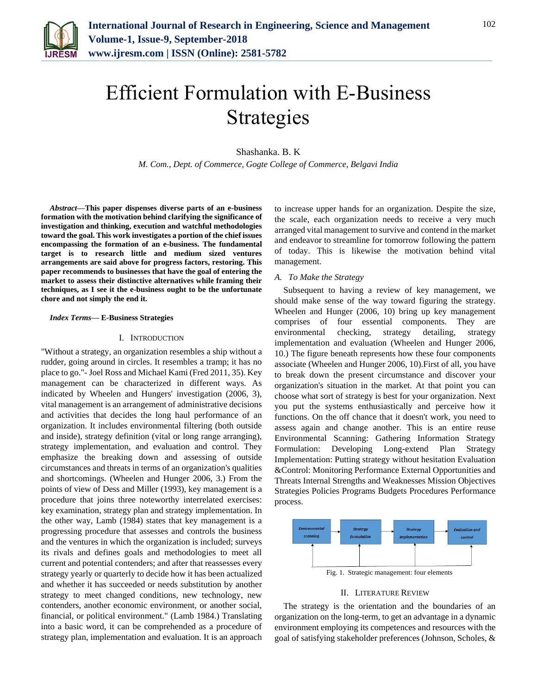

# Efficient Formulation with E-Business Strategies

Shashanka. B. K

*M. Com., Dept. of Commerce, Gogte College of Commerce, Belgavi India*

*Abstract***—This paper dispenses diverse parts of an e-business formation with the motivation behind clarifying the significance of investigation and thinking, execution and watchful methodologies toward the goal. This work investigates a portion of the chief issues encompassing the formation of an e-business. The fundamental target is to research little and medium sized ventures arrangements are said above for progress factors, restoring. This paper recommends to businesses that have the goal of entering the market to assess their distinctive alternatives while framing their techniques, as I see it the e-business ought to be the unfortunate chore and not simply the end it.** 

### *Index Terms***— E-Business Strategies**

### I. INTRODUCTION

"Without a strategy, an organization resembles a ship without a rudder, going around in circles. It resembles a tramp; it has no place to go."- Joel Ross and Michael Kami (Fred 2011, 35). Key management can be characterized in different ways. As indicated by Wheelen and Hungers' investigation (2006, 3), vital management is an arrangement of administrative decisions and activities that decides the long haul performance of an organization. It includes environmental filtering (both outside and inside), strategy definition (vital or long range arranging), strategy implementation, and evaluation and control. They emphasize the breaking down and assessing of outside circumstances and threats in terms of an organization's qualities and shortcomings. (Wheelen and Hunger 2006, 3.) From the points of view of Dess and Miller (1993), key management is a procedure that joins three noteworthy interrelated exercises: key examination, strategy plan and strategy implementation. In the other way, Lamb (1984) states that key management is a progressing procedure that assesses and controls the business and the ventures in which the organization is included; surveys its rivals and defines goals and methodologies to meet all current and potential contenders; and after that reassesses every strategy yearly or quarterly to decide how it has been actualized and whether it has succeeded or needs substitution by another strategy to meet changed conditions, new technology, new contenders, another economic environment, or another social, financial, or political environment." (Lamb 1984.) Translating into a basic word, it can be comprehended as a procedure of strategy plan, implementation and evaluation. It is an approach to increase upper hands for an organization. Despite the size, the scale, each organization needs to receive a very much arranged vital management to survive and contend in the market and endeavor to streamline for tomorrow following the pattern of today. This is likewise the motivation behind vital management.

## *A. To Make the Strategy*

Subsequent to having a review of key management, we should make sense of the way toward figuring the strategy. Wheelen and Hunger (2006, 10) bring up key management comprises of four essential components. They are environmental checking, strategy detailing, strategy implementation and evaluation (Wheelen and Hunger 2006, 10.) The figure beneath represents how these four components associate (Wheelen and Hunger 2006, 10).First of all, you have to break down the present circumstance and discover your organization's situation in the market. At that point you can choose what sort of strategy is best for your organization. Next you put the systems enthusiastically and perceive how it functions. On the off chance that it doesn't work, you need to assess again and change another. This is an entire reuse Environmental Scanning: Gathering Information Strategy Formulation: Developing Long-extend Plan Strategy Implementation: Putting strategy without hesitation Evaluation &Control: Monitoring Performance External Opportunities and Threats Internal Strengths and Weaknesses Mission Objectives Strategies Policies Programs Budgets Procedures Performance process.



## II. LITERATURE REVIEW

The strategy is the orientation and the boundaries of an organization on the long-term, to get an advantage in a dynamic environment employing its competences and resources with the goal of satisfying stakeholder preferences (Johnson, Scholes, &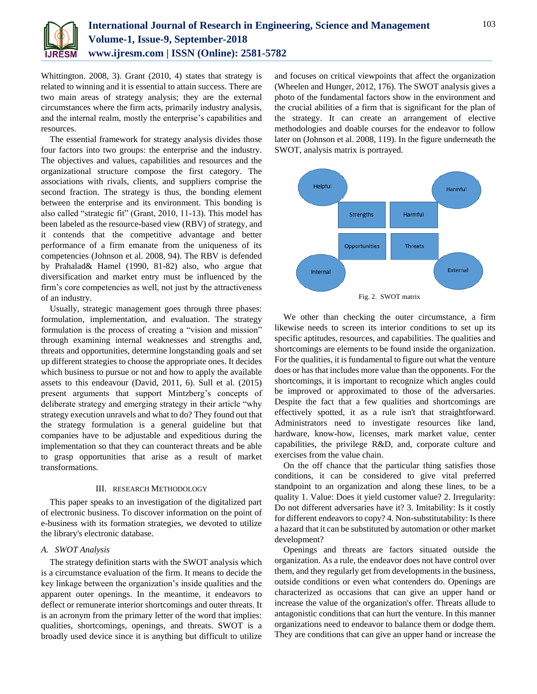

Whittington. 2008, 3). Grant (2010, 4) states that strategy is related to winning and it is essential to attain success. There are two main areas of strategy analysis; they are the external circumstances where the firm acts, primarily industry analysis, and the internal realm, mostly the enterprise's capabilities and resources.

The essential framework for strategy analysis divides those four factors into two groups: the enterprise and the industry. The objectives and values, capabilities and resources and the organizational structure compose the first category. The associations with rivals, clients, and suppliers comprise the second fraction. The strategy is thus, the bonding element between the enterprise and its environment. This bonding is also called "strategic fit" (Grant, 2010, 11-13). This model has been labeled as the resource-based view (RBV) of strategy, and it contends that the competitive advantage and better performance of a firm emanate from the uniqueness of its competencies (Johnson et al. 2008, 94). The RBV is defended by Prahalad& Hamel (1990, 81-82) also, who argue that diversification and market entry must be influenced by the firm's core competencies as well, not just by the attractiveness of an industry.

Usually, strategic management goes through three phases: formulation, implementation, and evaluation. The strategy formulation is the process of creating a "vision and mission" through examining internal weaknesses and strengths and, threats and opportunities, determine longstanding goals and set up different strategies to choose the appropriate ones. It decides which business to pursue or not and how to apply the available assets to this endeavour (David, 2011, 6). Sull et al. (2015) present arguments that support Mintzberg's concepts of deliberate strategy and emerging strategy in their article "why strategy execution unravels and what to do? They found out that the strategy formulation is a general guideline but that companies have to be adjustable and expeditious during the implementation so that they can counteract threats and be able to grasp opportunities that arise as a result of market transformations.

## III. RESEARCH METHODOLOGY

This paper speaks to an investigation of the digitalized part of electronic business. To discover information on the point of e-business with its formation strategies, we devoted to utilize the library's electronic database.

### *A. SWOT Analysis*

The strategy definition starts with the SWOT analysis which is a circumstance evaluation of the firm. It means to decide the key linkage between the organization's inside qualities and the apparent outer openings. In the meantime, it endeavors to deflect or remunerate interior shortcomings and outer threats. It is an acronym from the primary letter of the word that implies: qualities, shortcomings, openings, and threats. SWOT is a broadly used device since it is anything but difficult to utilize

and focuses on critical viewpoints that affect the organization (Wheelen and Hunger, 2012, 176). The SWOT analysis gives a photo of the fundamental factors show in the environment and the crucial abilities of a firm that is significant for the plan of the strategy. It can create an arrangement of elective methodologies and doable courses for the endeavor to follow later on (Johnson et al. 2008, 119). In the figure underneath the SWOT, analysis matrix is portrayed.



We other than checking the outer circumstance, a firm likewise needs to screen its interior conditions to set up its specific aptitudes, resources, and capabilities. The qualities and shortcomings are elements to be found inside the organization. For the qualities, it is fundamental to figure out what the venture does or has that includes more value than the opponents. For the shortcomings, it is important to recognize which angles could be improved or approximated to those of the adversaries. Despite the fact that a few qualities and shortcomings are effectively spotted, it as a rule isn't that straightforward. Administrators need to investigate resources like land, hardware, know-how, licenses, mark market value, center capabilities, the privilege R&D, and, corporate culture and exercises from the value chain.

On the off chance that the particular thing satisfies those conditions, it can be considered to give vital preferred standpoint to an organization and along these lines, to be a quality 1. Value: Does it yield customer value? 2. Irregularity: Do not different adversaries have it? 3. Imitability: Is it costly for different endeavors to copy? 4. Non-substitutability: Is there a hazard that it can be substituted by automation or other market development?

Openings and threats are factors situated outside the organization. As a rule, the endeavor does not have control over them, and they regularly get from developments in the business, outside conditions or even what contenders do. Openings are characterized as occasions that can give an upper hand or increase the value of the organization's offer. Threats allude to antagonistic conditions that can hurt the venture. In this manner organizations need to endeavor to balance them or dodge them. They are conditions that can give an upper hand or increase the